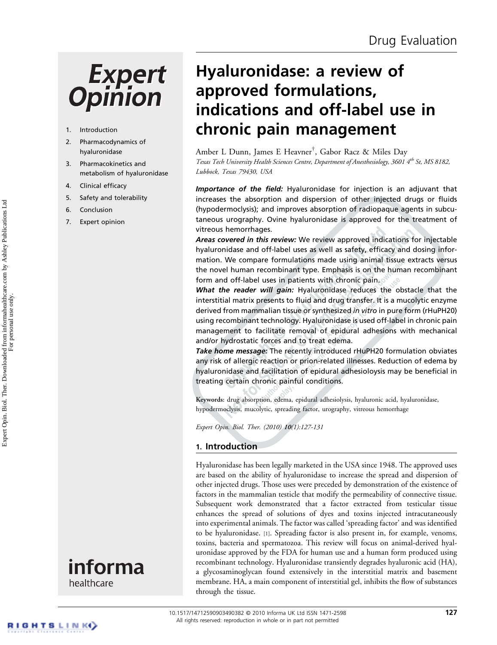# **Expert Opinion**

- 1. Introduction
- 2. Pharmacodynamics of hyaluronidase
- 3. Pharmacokinetics and metabolism of hyaluronidase
- 4. Clinical efficacy
- 5. Safety and tolerability
- 6. Conclusion
- 7. Expert opinion



Hyaluronidase: a review of approved formulations, indications and off-label use in chronic pain management

Amber L Dunn, James E Heavner† , Gabor Racz & Miles Day Texas Tech University Health Sciences Centre, Department of Anesthesiology, 3601 4<sup>th</sup> St, MS 8182,<br>Lubbock. Texas 79430. USA  $\frac{1}{2}$ 

Importance of the field: Hyaluronidase for injection is an adjuvant that increases the absorption and dispersion of other injected drugs or fluids (hypodermoclysis); and improves absorption of radiopaque agents in subcutaneous urography. Ovine hyaluronidase is approved for the treatment of vitreous hemorrhages.

Areas covered in this review: We review approved indications for injectable hyaluronidase and off-label uses as well as safety, efficacy and dosing information. We compare formulations made using animal tissue extracts versus the novel human recombinant type. Emphasis is on the human recombinant form and off-label uses in patients with chronic pain.

What the reader will gain: Hyaluronidase reduces the obstacle that the interstitial matrix presents to fluid and drug transfer. It is a mucolytic enzyme derived from mammalian tissue or synthesized in vitro in pure form (rHuPH20) using recombinant technology. Hyaluronidase is used off-label in chronic pain management to facilitate removal of epidural adhesions with mechanical and/or hydrostatic forces and to treat edema.

Take home message: The recently introduced rHuPH20 formulation obviates any risk of allergic reaction or prion-related illnesses. Reduction of edema by hyaluronidase and facilitation of epidural adhesioloysis may be beneficial in treating certain chronic painful conditions.

Keywords: drug absorption, edema, epidural adhesiolysis, hyaluronic acid, hyaluronidase, hypodermoclysis, mucolytic, spreading factor, urography, vitreous hemorrhage

Expert Opin. Biol. Ther. (2010) <sup>10</sup>(1):127-131

# 1. Introduction

Hyaluronidase has been legally marketed in the USA since 1948. The approved uses are based on the ability of hyaluronidase to increase the spread and dispersion of other injected drugs. Those uses were preceded by demonstration of the existence of factors in the mammalian testicle that modify the permeability of connective tissue. Subsequent work demonstrated that a factor extracted from testicular tissue enhances the spread of solutions of dyes and toxins injected intracutaneously into experimental animals. The factor was called 'spreading factor' and was identified to be hyaluronidase. [1]. Spreading factor is also present in, for example, venoms, toxins, bacteria and spermatozoa. This review will focus on animal-derived hyaluronidase approved by the FDA for human use and a human form produced using recombinant technology. Hyaluronidase transiently degrades hyaluronic acid (HA), a glycosaminoglycan found extensively in the interstitial matrix and basement membrane. HA, a main component of interstitial gel, inhibits the flow of substances through the tissue.

RIGHTS LINKO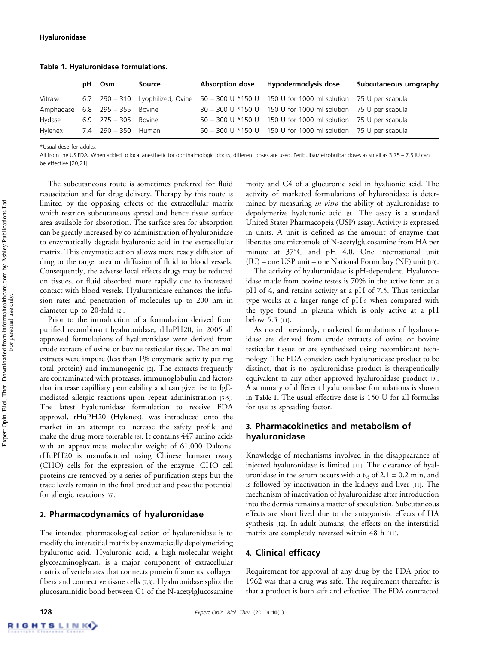|           | рH | Osm                 | Source | <b>Absorption dose</b> | Hypodermoclysis dose                                                                           | Subcutaneous urography |
|-----------|----|---------------------|--------|------------------------|------------------------------------------------------------------------------------------------|------------------------|
| Vitrase   |    |                     |        |                        | 6.7 290 – 310 Lyophilized, Ovine 50 – 300 U *150 U 150 U for 1000 ml solution 75 U per scapula |                        |
| Amphadase |    | $6.8$ 295 - 355     | Bovine |                        | 30 - 300 U *150 U 150 U for 1000 ml solution 75 U per scapula                                  |                        |
| Hydase    |    | $6.9$ $275 - 305$   | Bovine |                        | 50 - 300 U *150 U 150 U for 1000 ml solution 75 U per scapula                                  |                        |
| Hylenex   |    | 7.4 290 - 350 Human |        |                        | 50 - 300 U *150 U 150 U for 1000 ml solution 75 U per scapula                                  |                        |

Table 1. Hyaluronidase formulations.

\*Usual dose for adults.

All from the US FDA. When added to local anesthetic for ophthalmologic blocks, different doses are used. Peribulbar/retrobulbar doses as small as 3.75 – 7.5 IU can be effective [20,21].

The subcutaneous route is sometimes preferred for fluid resuscitation and for drug delivery. Therapy by this route is limited by the opposing effects of the extracellular matrix which restricts subcutaneous spread and hence tissue surface area available for absorption. The surface area for absorption can be greatly increased by co-administration of hyaluronidase to enzymatically degrade hyaluronic acid in the extracellular matrix. This enzymatic action allows more ready diffusion of drug to the target area or diffusion of fluid to blood vessels. Consequently, the adverse local effects drugs may be reduced on tissues, or fluid absorbed more rapidly due to increased contact with blood vessels. Hyaluronidase enhances the infusion rates and penetration of molecules up to 200 nm in diameter up to 20-fold [2].

Prior to the introduction of a formulation derived from purified recombinant hyaluronidase, rHuPH20, in 2005 all approved formulations of hyaluronidase were derived from crude extracts of ovine or bovine testicular tissue. The animal extracts were impure (less than 1% enzymatic activity per mg total protein) and immunogenic [2]. The extracts frequently are contaminated with proteases, immunoglobulin and factors that increase capilliary permeability and can give rise to IgEmediated allergic reactions upon repeat administration [3-5]. The latest hyaluronidase formulation to receive FDA approval, rHuPH20 (Hylenex), was introduced onto the market in an attempt to increase the safety profile and make the drug more tolerable [6]. It contains 447 amino acids with an approximate molecular weight of 61,000 Daltons. rHuPH20 is manufactured using Chinese hamster ovary (CHO) cells for the expression of the enzyme. CHO cell proteins are removed by a series of purification steps but the trace levels remain in the final product and pose the potential for allergic reactions [6].

#### 2. Pharmacodynamics of hyaluronidase

The intended pharmacological action of hyaluronidase is to modify the interstitial matrix by enzymatically depolymerizing hyaluronic acid. Hyaluronic acid, a high-molecular-weight glycosaminoglycan, is a major component of extracellular matrix of vertebrates that connects protein filaments, collagen fibers and connective tissue cells [7,8]. Hyaluronidase splits the glucosaminidic bond between C1 of the N-acetylglucosamine

moity and C4 of a glucuronic acid in hyaluonic acid. The activity of marketed formulations of hyluronidase is determined by measuring *in vitro* the ability of hyaluronidase to depolymerize hyaluronic acid [9]. The assay is a standard United States Pharmacopeia (USP) assay. Activity is expressed in units. A unit is defined as the amount of enzyme that liberates one micromole of N-acetylglucosamine from HA per minute at  $37^{\circ}$ C and pH 4.0. One international unit  $(IU) = one USP unit = one National Formularity (NF) unit [10].$ 

The activity of hyaluronidase is pH-dependent. Hyaluronidase made from bovine testes is 70% in the active form at a pH of 4, and retains activity at a pH of 7.5. Thus testicular type works at a larger range of pH's when compared with the type found in plasma which is only active at a pH below 5.3 [11].

As noted previously, marketed formulations of hyaluronidase are derived from crude extracts of ovine or bovine testicular tissue or are synthesized using recombinant technology. The FDA considers each hyaluronidase product to be distinct, that is no hyaluronidase product is therapeutically equivalent to any other approved hyaluronidase product [9]. A summary of different hyaluronidase formulations is shown in Table 1. The usual effective dose is 150 U for all formulas for use as spreading factor.

# 3. Pharmacokinetics and metabolism of hyaluronidase

Knowledge of mechanisms involved in the disappearance of injected hyaluronidase is limited [11]. The clearance of hyaluronidase in the serum occurs with a  $t<sub>1/2</sub>$  of 2.1  $\pm$  0.2 min, and is followed by inactivation in the kidneys and liver [11]. The mechanism of inactivation of hyaluronidase after introduction into the dermis remains a matter of speculation. Subcutaneous effects are short lived due to the antagonistic effects of HA synthesis [12]. In adult humans, the effects on the interstitial matrix are completely reversed within 48 h [11].

#### 4. Clinical efficacy

Requirement for approval of any drug by the FDA prior to 1962 was that a drug was safe. The requirement thereafter is that a product is both safe and effective. The FDA contracted

Expert Opin. Biol. Ther. Downloaded from informahealthcare.com by Ashley Publications Ltd Expert Opin. Biol. Ther. Downloaded from informahealthcare.com by Ashley Publications Ltd For personal use only.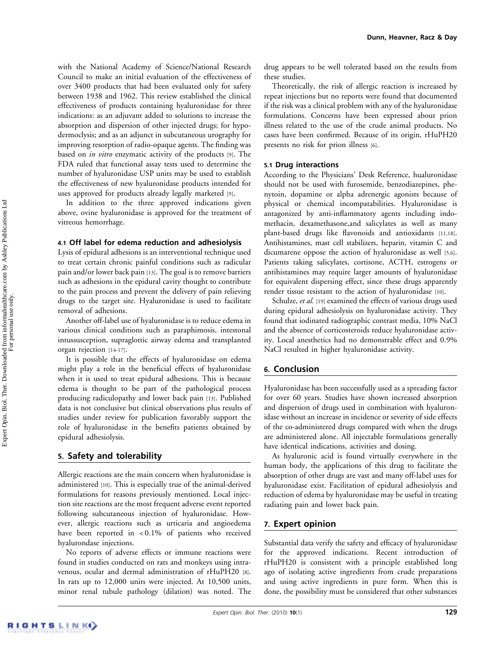with the National Academy of Science/National Research Council to make an initial evaluation of the effectiveness of over 3400 products that had been evaluated only for safety between 1938 and 1962. This review established the clinical effectiveness of products containing hyaluronidase for three indications: as an adjuvant added to solutions to increase the absorption and dispersion of other injected drugs; for hypodermoclysis; and as an adjunct in subcutaneous urography for improving resorption of radio-opaque agents. The finding was based on in vitro enzymatic activity of the products [9]. The FDA ruled that functional assay tests used to determine the number of hyaluronidase USP units may be used to establish the effectiveness of new hyaluronidase products intended for uses approved for products already legally marketed [9].

In addition to the three approved indications given above, ovine hyaluronidase is approved for the treatment of vitreous hemorrhage.

#### 4.1 Off label for edema reduction and adhesiolysis

Lysis of epidural adhesions is an interventional technique used to treat certain chronic painful conditions such as radicular pain and/or lower back pain [13]. The goal is to remove barriers such as adhesions in the epidural cavity thought to contribute to the pain process and prevent the delivery of pain relieving drugs to the target site. Hyaluronidase is used to facilitate removal of adhesions.

Another off-label use of hyaluronidase is to reduce edema in various clinical conditions such as paraphimosis, intestonal intussusception, supraglottic airway edema and transplanted organ rejection [14-17].

It is possible that the effects of hyaluronidase on edema might play a role in the beneficial effects of hyaluronidase when it is used to treat epidural adhesions. This is because edema is thought to be part of the pathological process producing radiculopathy and lower back pain [13]. Published data is not conclusive but clinical observations plus results of studies under review for publication favorably support the role of hyaluronidase in the benefits patients obtained by epidural adhesiolysis.

# 5. Safety and tolerability

Allergic reactions are the main concern when hyaluronidase is administered [10]. This is especially true of the animal-derived formulations for reasons previously mentioned. Local injection site reactions are the most frequent adverse event reported following subcutaneous injection of hyaluronidase. However, allergic reactions such as urticaria and angioedema have been reported in < 0.1% of patients who received hyalurondase injections.

No reports of adverse effects or immune reactions were found in studies conducted on rats and monkeys using intravenous, ocular and dermal administration of rHuPH20 [8]. In rats up to 12,000 units were injected. At 10,500 units, minor renal tubule pathology (dilation) was noted. The drug appears to be well tolerated based on the results from these studies.

Theoretically, the risk of allergic reaction is increased by repeat injections but no reports were found that documented if the risk was a clinical problem with any of the hyaluronidase formulations. Concerns have been expressed about prion illness related to the use of the crude animal products. No cases have been confirmed. Because of its origin, rHuPH20 presents no risk for prion illness [6].

### 5.1 Drug interactions

According to the Physicians' Desk Reference, hualuronidase should not be used with furosemide, benzodiazepines, phenytoin, dopamine or alpha adrenergic agonists because of physical or chemical incompatabilities. Hyaluronidase is antagonized by anti-inflammatory agents including indomethacin, dexamethasone,and salicylates as well as many plant-based drugs like flavonoids and antioxidants [11,18]. Antihistamines, mast cell stabilizers, heparin, vitamin C and dicumarene oppose the action of hyaluronidase as well [5,6]. Patients taking salicylates, cortisone, ACTH, estrogens or antihistamines may require larger amounts of hyaluronidase for equivalent dispersing effect, since these drugs apparently render tissue resistant to the action of hyaluronidase [10].

Schulze, et al. [19] examined the effects of various drugs used during epidural adhesiolysis on hyaluronidase activity. They found that iodinated radiographic contrast media, 10% NaCl and the absence of corticosteroids reduce hyaluronidase activity. Local anesthetics had no demonstrable effect and 0.9% NaCl resulted in higher hyaluronidase activity.

#### 6. Conclusion

Hyaluronidase has been successfully used as a spreading factor for over 60 years. Studies have shown increased absorption and dispersion of drugs used in combination with hyaluronidase without an increase in incidence or severity of side effects of the co-administered drugs compared with when the drugs are administered alone. All injectable formulations generally have identical indications, activities and dosing.

As hyaluronic acid is found virtually everywhere in the human body, the applications of this drug to facilitate the absorption of other drugs are vast and many off-label uses for hyaluronidase exist. Facilitation of epidural adhesiolysis and reduction of edema by hyaluronidase may be useful in treating radiating pain and lower back pain.

#### 7. Expert opinion

Substantial data verify the safety and efficacy of hyaluronidase for the approved indications. Recent introduction of rHuPH20 is consistent with a principle established long ago of isolating active ingredients from crude preparations and using active ingredients in pure form. When this is done, the possibility must be considered that other substances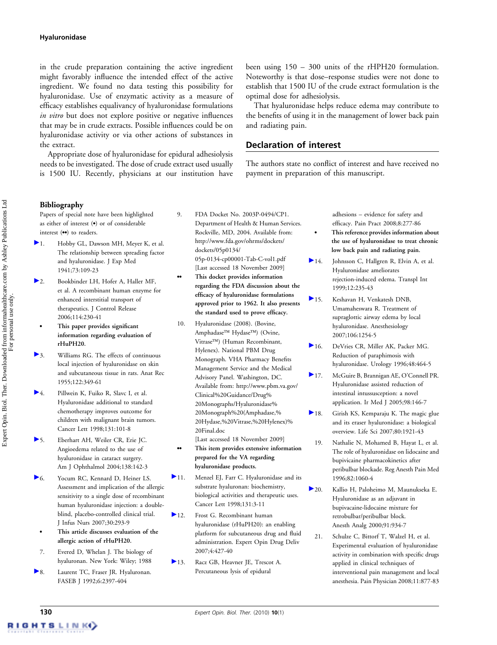#### Hyaluronidase

in the crude preparation containing the active ingredient might favorably influence the intended effect of the active ingredient. We found no data testing this possibility for hyaluronidase. Use of enzymatic activity as a measure of efficacy establishes equalivancy of hyaluronidase formulations in vitro but does not explore positive or negative influences that may be in crude extracts. Possible influences could be on hyaluronidase activity or via other actions of substances in the extract.

Appropriate dose of hyaluronidase for epidural adhesiolysis needs to be investigated. The dose of crude extract used usually is 1500 IU. Recently, physicians at our institution have been using 150 – 300 units of the rHPH20 formulation. Noteworthy is that dose–response studies were not done to establish that 1500 IU of the crude extract formulation is the optimal dose for adhesiolysis.

That hyaluronidase helps reduce edema may contribute to the benefits of using it in the management of lower back pain and radiating pain.

### Declaration of interest

The authors state no conflict of interest and have received no payment in preparation of this manuscript.

Papers of special note have been highlighted as either of interest  $\left( \bullet \right)$  or of considerable interest  $(•)$  to readers.

- 1. Hobby GL, Dawson MH, Meyer K, et al. The relationship between spreading factor and hyaluronidase. J Exp Med 1941;73:109-23
- 2. Bookbinder LH, Hofer A, Haller MF, et al. A recombinant human enzyme for enhanced interstitial transport of therapeutics. J Control Release 2006;114:230-41
	- . This paper provides significant information regarding evaluation of rHuPH20.
- 3. Williams RG. The effects of continuous local injection of hyaluronidase on skin and subcutaneous tissue in rats. Anat Rec 1955;122:349-61
- 4. Pillwein K, Fuiko R, Slavc I, et al. Hyaluronidase additional to standard chemotherapy improves outcome for children with malignant brain tumors. Cancer Lett 1998;131:101-8
- 5. Eberhart AH, Weiler CR, Erie JC. Angioedema related to the use of hyaluronidase in cataract surgery. Am J Ophthalmol 2004;138:142-3
- 6. Yocum RC, Kennard D, Heiner LS. Assessment and implication of the allergic sensitivity to a single dose of recombinant human hyaluronidase injection: a doubleblind, placebo-controlled clinical trial. J Infus Nurs 2007;30:293-9
	- . This article discusses evaluation of the allergic action of rHuPH20.
- 7. Evered D, Whelan J. The biology of hyaluronan. New York: Wiley; 1988
- 8. Laurent TC, Fraser JR. Hyaluronan. FASEB J 1992;6:2397-404
- 9. FDA Docket No. 2003P-0494/CP1. Department of Health & Human Services. Rockville, MD, 2004. Available from: http://www.fda.gov/ohrms/dockets/ dockets/05p0134/ 05p-0134-cp00001-Tab-C-vol1.pdf [Last accessed 18 November 2009]
- This docket provides information regarding the FDA discussion about the efficacy of hyaluronidase formulations approved prior to 1962. It also presents the standard used to prove efficacy.
- 10. Hyaluronidase (2008). (Bovine, Amphadase<sup>™</sup> Hydase<sup>™</sup>) (Ovine, Vitrase<sup>TM</sup>) (Human Recombinant, Hylenex). National PBM Drug Monograph. VHA Pharmacy Benefits Management Service and the Medical Advisory Panel. Washington, DC. Available from: http://www.pbm.va.gov/ Clinical%20Guidance/Drug% 20Monographs/Hyaluronidase% 20Monograph%20(Amphadase,% 20Hydase,%20Vitrase,%20Hylenex)% 20Final.doc
- [Last accessed 18 November 2009] This item provides extensive information prepared for the VA regarding hyaluronidase products.
- ▶ 11. Menzel EI, Farr C. Hyaluronidase and its substrate hyaluronan: biochemistry, biological activities and therapeutic uses. Cancer Lett 1998;131:3-11
- 12. Frost G. Recombinant human hyaluronidase (rHuPH20): an enabling platform for subcutaneous drug and fluid administration. Expert Opin Drug Deliv 2007;4:427-40
- 13. Racz GB, Heavner JE, Trescot A. Percutaneous lysis of epidural

adhesions – evidence for safety and efficacy. Pain Pract 2008;8:277-86

. This reference provides information about the use of hyaluronidase to treat chronic low back pain and radiating pain.

- 14. Johnsson C, Hallgren R, Elvin A, et al. Hyaluronidase ameliorates rejection-induced edema. Transpl Int 1999;12:235-43
- 15. Keshavan H, Venkatesh DNB, Umamaheswara R. Treatment of supraglottic airway edema by local hyaluronidase. Anesthesiology 2007;106:1254-5
- 16. DeVries CR, Miller AK, Packer MG. Reduction of paraphimosis with hyaluronidase. Urology 1996;48:464-5
- 17. McGuire B, Brannigan AE, O'Connell PR. Hyaluronidase assisted reduction of intestinal intussusception: a novel application. Ir Med J 2005;98:146-7
- 18. Girish KS, Kemparaju K. The magic glue and its eraser hyaluronidase: a biological overview. Life Sci 2007;80:1921-43
	- 19. Nathalie N, Mohamed B, Hayat L, et al. The role of hyaluronidase on lidocaine and bupivicaine pharmacokinetics after peribulbar blockade. Reg Anesth Pain Med 1996;82:1060-4
- 20. Kallio H, Paloheimo M, Maunukseka E. Hyaluronidase as an adjuvant in bupivacaine-lidocaine mixture for retrobulbar/peribulbar block. Anesth Analg 2000;91:934-7
	- 21. Schulze C, Bittorf T, Walzel H, et al. Experimental evaluation of hyaluronidase activity in combination with specific drugs applied in clinical techniques of interventional pain management and local anesthesia. Pain Physician 2008;11:877-83